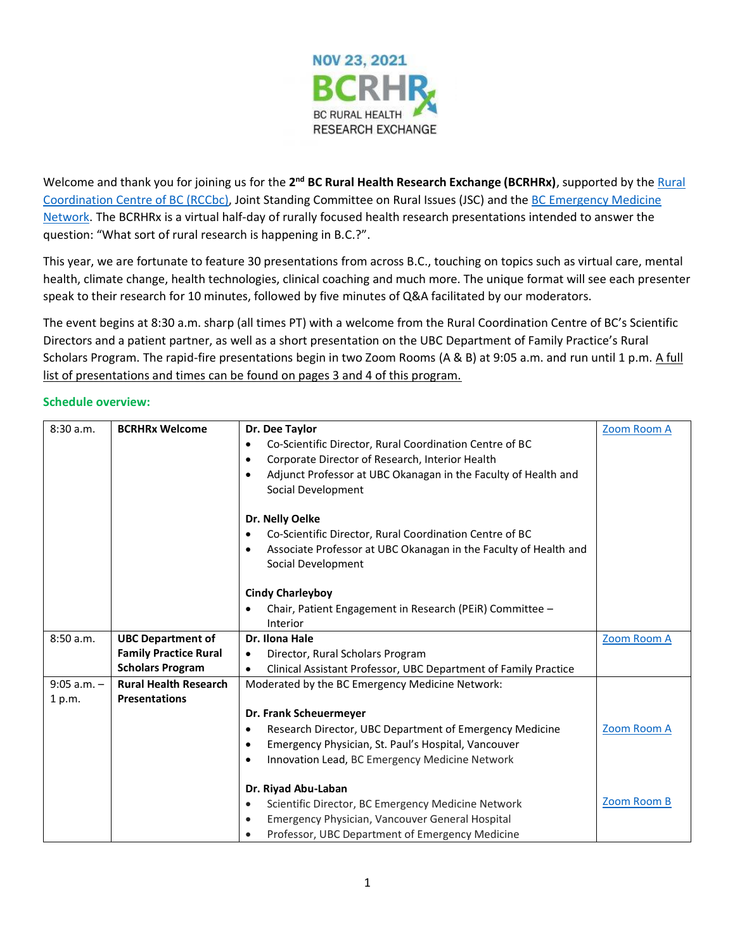

Welcome and thank you for joining us for the **2nd BC Rural Health Research Exchange (BCRHRx)**, supported by the [Rural](https://rccbc.ca/)  [Coordination Centre of BC \(RCCbc\),](https://rccbc.ca/) Joint Standing Committee on Rural Issues (JSC) and the [BC Emergency Medicine](https://www.bcemergencynetwork.ca/)  [Network.](https://www.bcemergencynetwork.ca/) The BCRHRx is a virtual half-day of rurally focused health research presentations intended to answer the question: "What sort of rural research is happening in B.C.?".

This year, we are fortunate to feature 30 presentations from across B.C., touching on topics such as virtual care, mental health, climate change, health technologies, clinical coaching and much more. The unique format will see each presenter speak to their research for 10 minutes, followed by five minutes of Q&A facilitated by our moderators.

The event begins at 8:30 a.m. sharp (all times PT) with a welcome from the Rural Coordination Centre of BC's Scientific Directors and a patient partner, as well as a short presentation on the UBC Department of Family Practice's Rural Scholars Program. The rapid-fire presentations begin in two Zoom Rooms (A & B) at 9:05 a.m. and run until 1 p.m. A full list of presentations and times can be found on pages 3 and 4 of this program.

| 8:30a.m.      | <b>BCRHRx Welcome</b>        | Dr. Dee Taylor                                                               | Zoom Room A |
|---------------|------------------------------|------------------------------------------------------------------------------|-------------|
|               |                              | Co-Scientific Director, Rural Coordination Centre of BC<br>$\bullet$         |             |
|               |                              | Corporate Director of Research, Interior Health<br>$\bullet$                 |             |
|               |                              | Adjunct Professor at UBC Okanagan in the Faculty of Health and<br>$\bullet$  |             |
|               |                              | Social Development                                                           |             |
|               |                              |                                                                              |             |
|               |                              | Dr. Nelly Oelke                                                              |             |
|               |                              | Co-Scientific Director, Rural Coordination Centre of BC<br>٠                 |             |
|               |                              | Associate Professor at UBC Okanagan in the Faculty of Health and<br>6        |             |
|               |                              | Social Development                                                           |             |
|               |                              |                                                                              |             |
|               |                              | <b>Cindy Charleyboy</b>                                                      |             |
|               |                              | Chair, Patient Engagement in Research (PEiR) Committee -<br>$\bullet$        |             |
|               |                              | Interior                                                                     |             |
| 8:50a.m.      | <b>UBC Department of</b>     | Dr. Ilona Hale                                                               | Zoom Room A |
|               | <b>Family Practice Rural</b> | Director, Rural Scholars Program<br>$\bullet$                                |             |
|               | <b>Scholars Program</b>      | Clinical Assistant Professor, UBC Department of Family Practice<br>$\bullet$ |             |
| $9:05$ a.m. - | <b>Rural Health Research</b> | Moderated by the BC Emergency Medicine Network:                              |             |
| 1 p.m.        | <b>Presentations</b>         |                                                                              |             |
|               |                              | Dr. Frank Scheuermeyer                                                       |             |
|               |                              | Research Director, UBC Department of Emergency Medicine                      | Zoom Room A |
|               |                              | Emergency Physician, St. Paul's Hospital, Vancouver<br>$\bullet$             |             |
|               |                              | Innovation Lead, BC Emergency Medicine Network<br>$\bullet$                  |             |
|               |                              |                                                                              |             |
|               |                              | Dr. Riyad Abu-Laban                                                          |             |
|               |                              | Scientific Director, BC Emergency Medicine Network<br>$\bullet$              | Zoom Room B |
|               |                              | Emergency Physician, Vancouver General Hospital<br>$\bullet$                 |             |
|               |                              | Professor, UBC Department of Emergency Medicine<br>$\bullet$                 |             |

## **Schedule overview:**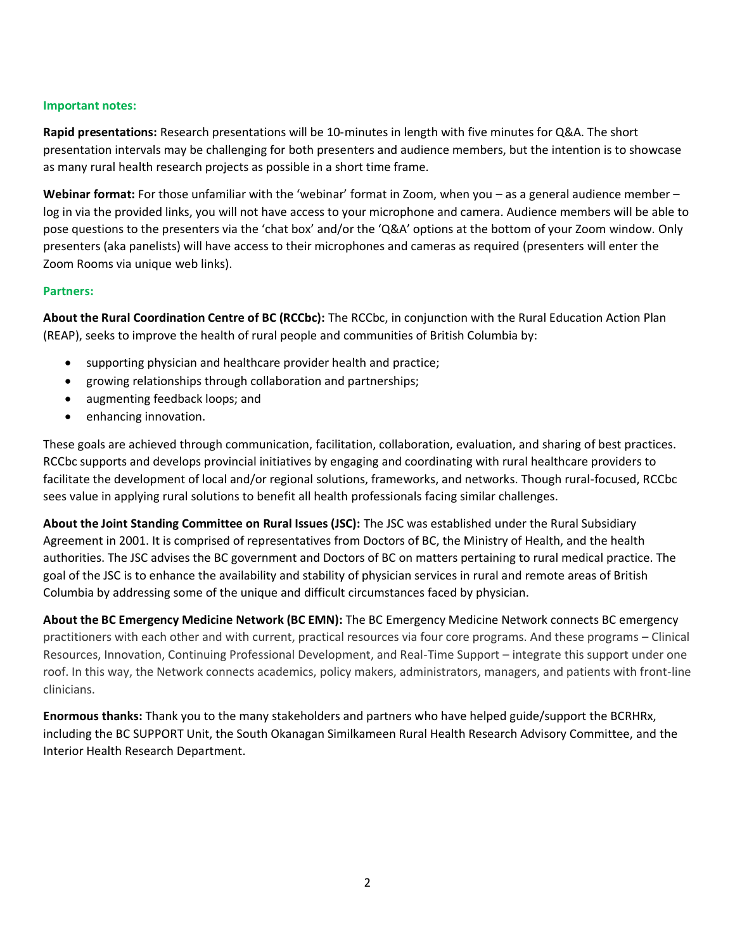## **Important notes:**

**Rapid presentations:** Research presentations will be 10-minutes in length with five minutes for Q&A. The short presentation intervals may be challenging for both presenters and audience members, but the intention is to showcase as many rural health research projects as possible in a short time frame.

**Webinar format:** For those unfamiliar with the 'webinar' format in Zoom, when you – as a general audience member – log in via the provided links, you will not have access to your microphone and camera. Audience members will be able to pose questions to the presenters via the 'chat box' and/or the 'Q&A' options at the bottom of your Zoom window. Only presenters (aka panelists) will have access to their microphones and cameras as required (presenters will enter the Zoom Rooms via unique web links).

## **Partners:**

**About the Rural Coordination Centre of BC (RCCbc):** The RCCbc, in conjunction with the Rural Education Action Plan (REAP), seeks to improve the health of rural people and communities of British Columbia by:

- supporting physician and healthcare provider health and practice;
- growing relationships through collaboration and partnerships;
- augmenting feedback loops; and
- enhancing innovation.

These goals are achieved through communication, facilitation, collaboration, evaluation, and sharing of best practices. RCCbc supports and develops provincial initiatives by engaging and coordinating with rural healthcare providers to facilitate the development of local and/or regional solutions, frameworks, and networks. Though rural-focused, RCCbc sees value in applying rural solutions to benefit all health professionals facing similar challenges.

**About the Joint Standing Committee on Rural Issues (JSC):** The JSC was established under the Rural Subsidiary Agreement in 2001. It is comprised of representatives from Doctors of BC, the Ministry of Health, and the health authorities. The JSC advises the BC government and Doctors of BC on matters pertaining to rural medical practice. The goal of the JSC is to enhance the availability and stability of physician services in rural and remote areas of British Columbia by addressing some of the unique and difficult circumstances faced by physician.

**About the BC Emergency Medicine Network (BC EMN):** The BC Emergency Medicine Network connects BC emergency practitioners with each other and with current, practical resources via four core programs. And these programs – Clinical Resources, Innovation, Continuing Professional Development, and Real-Time Support – integrate this support under one roof. In this way, the Network connects academics, policy makers, administrators, managers, and patients with front-line clinicians.

**Enormous thanks:** Thank you to the many stakeholders and partners who have helped guide/support the BCRHRx, including the BC SUPPORT Unit, the South Okanagan Similkameen Rural Health Research Advisory Committee, and the Interior Health Research Department.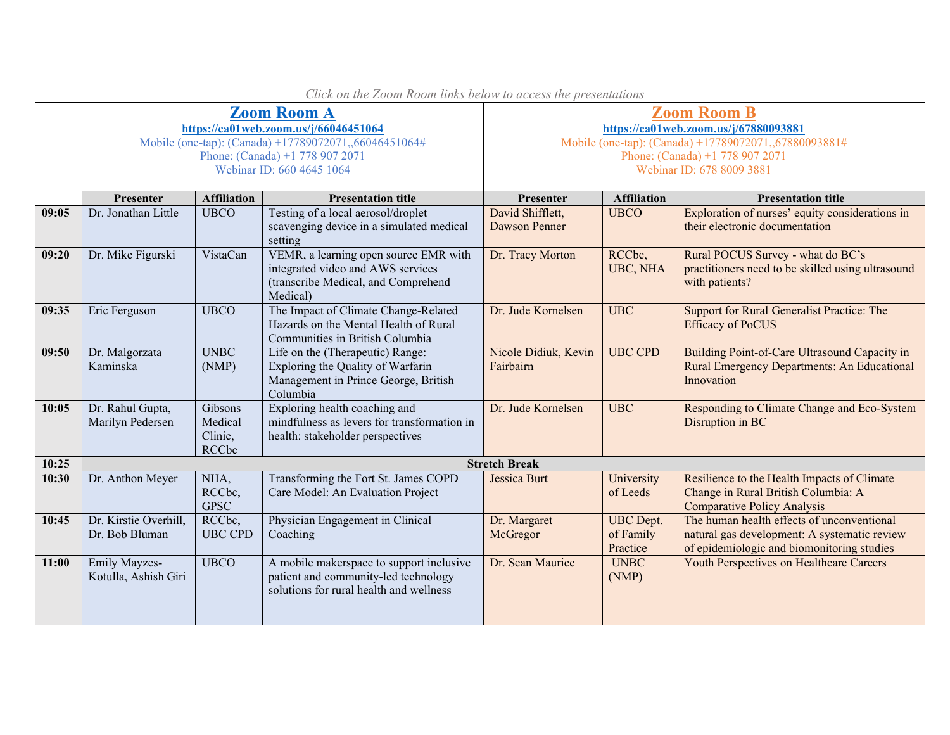|       | <b>Zoom Room A</b><br>https://ca01web.zoom.us/j/66046451064<br>Mobile (one-tap): (Canada) +17789072071,,66046451064#<br>Phone: (Canada) +1 778 907 2071<br>Webinar ID: 660 4645 1064 |                                               |                                                                                                                               | <b>Zoom Room B</b><br>https://ca01web.zoom.us/j/67880093881<br>Mobile (one-tap): (Canada) +17789072071,,67880093881#<br>Phone: (Canada) +1 778 907 2071<br>Webinar ID: 678 8009 3881 |                                           |                                                                                                                                          |  |  |
|-------|--------------------------------------------------------------------------------------------------------------------------------------------------------------------------------------|-----------------------------------------------|-------------------------------------------------------------------------------------------------------------------------------|--------------------------------------------------------------------------------------------------------------------------------------------------------------------------------------|-------------------------------------------|------------------------------------------------------------------------------------------------------------------------------------------|--|--|
|       |                                                                                                                                                                                      |                                               |                                                                                                                               |                                                                                                                                                                                      |                                           |                                                                                                                                          |  |  |
|       | Presenter                                                                                                                                                                            | <b>Affiliation</b>                            | <b>Presentation title</b>                                                                                                     | Presenter                                                                                                                                                                            | <b>Affiliation</b>                        | <b>Presentation title</b>                                                                                                                |  |  |
| 09:05 | Dr. Jonathan Little                                                                                                                                                                  | <b>UBCO</b>                                   | Testing of a local aerosol/droplet<br>scavenging device in a simulated medical<br>setting                                     | David Shifflett,<br>Dawson Penner                                                                                                                                                    | <b>UBCO</b>                               | Exploration of nurses' equity considerations in<br>their electronic documentation                                                        |  |  |
| 09:20 | Dr. Mike Figurski                                                                                                                                                                    | VistaCan                                      | VEMR, a learning open source EMR with<br>integrated video and AWS services<br>(transcribe Medical, and Comprehend<br>Medical) | Dr. Tracy Morton                                                                                                                                                                     | RCCbc,<br>UBC, NHA                        | Rural POCUS Survey - what do BC's<br>practitioners need to be skilled using ultrasound<br>with patients?                                 |  |  |
| 09:35 | Eric Ferguson                                                                                                                                                                        | <b>UBCO</b>                                   | The Impact of Climate Change-Related<br>Hazards on the Mental Health of Rural<br>Communities in British Columbia              | Dr. Jude Kornelsen                                                                                                                                                                   | <b>UBC</b>                                | Support for Rural Generalist Practice: The<br><b>Efficacy of PoCUS</b>                                                                   |  |  |
| 09:50 | Dr. Malgorzata<br>Kaminska                                                                                                                                                           | <b>UNBC</b><br>(NMP)                          | Life on the (Therapeutic) Range:<br>Exploring the Quality of Warfarin<br>Management in Prince George, British<br>Columbia     | Nicole Didiuk, Kevin<br>Fairbairn                                                                                                                                                    | <b>UBC CPD</b>                            | Building Point-of-Care Ultrasound Capacity in<br>Rural Emergency Departments: An Educational<br>Innovation                               |  |  |
| 10:05 | Dr. Rahul Gupta,<br>Marilyn Pedersen                                                                                                                                                 | Gibsons<br>Medical<br>Clinic,<br><b>RCCbc</b> | Exploring health coaching and<br>mindfulness as levers for transformation in<br>health: stakeholder perspectives              | Dr. Jude Kornelsen                                                                                                                                                                   | <b>UBC</b>                                | Responding to Climate Change and Eco-System<br>Disruption in BC                                                                          |  |  |
| 10:25 | <b>Stretch Break</b>                                                                                                                                                                 |                                               |                                                                                                                               |                                                                                                                                                                                      |                                           |                                                                                                                                          |  |  |
| 10:30 | Dr. Anthon Meyer                                                                                                                                                                     | NHA,<br>RCCbc,<br><b>GPSC</b>                 | Transforming the Fort St. James COPD<br>Care Model: An Evaluation Project                                                     | Jessica Burt                                                                                                                                                                         | University<br>of Leeds                    | Resilience to the Health Impacts of Climate<br>Change in Rural British Columbia: A<br><b>Comparative Policy Analysis</b>                 |  |  |
| 10:45 | Dr. Kirstie Overhill,<br>Dr. Bob Bluman                                                                                                                                              | RCC <sub>bc</sub><br><b>UBC CPD</b>           | Physician Engagement in Clinical<br>Coaching                                                                                  | Dr. Margaret<br>McGregor                                                                                                                                                             | <b>UBC</b> Dept.<br>of Family<br>Practice | The human health effects of unconventional<br>natural gas development: A systematic review<br>of epidemiologic and biomonitoring studies |  |  |
| 11:00 | Emily Mayzes-<br>Kotulla, Ashish Giri                                                                                                                                                | <b>UBCO</b>                                   | A mobile makerspace to support inclusive<br>patient and community-led technology<br>solutions for rural health and wellness   | Dr. Sean Maurice                                                                                                                                                                     | <b>UNBC</b><br>(NMP)                      | Youth Perspectives on Healthcare Careers                                                                                                 |  |  |

*Click on the Zoom Room links below to access the presentations*